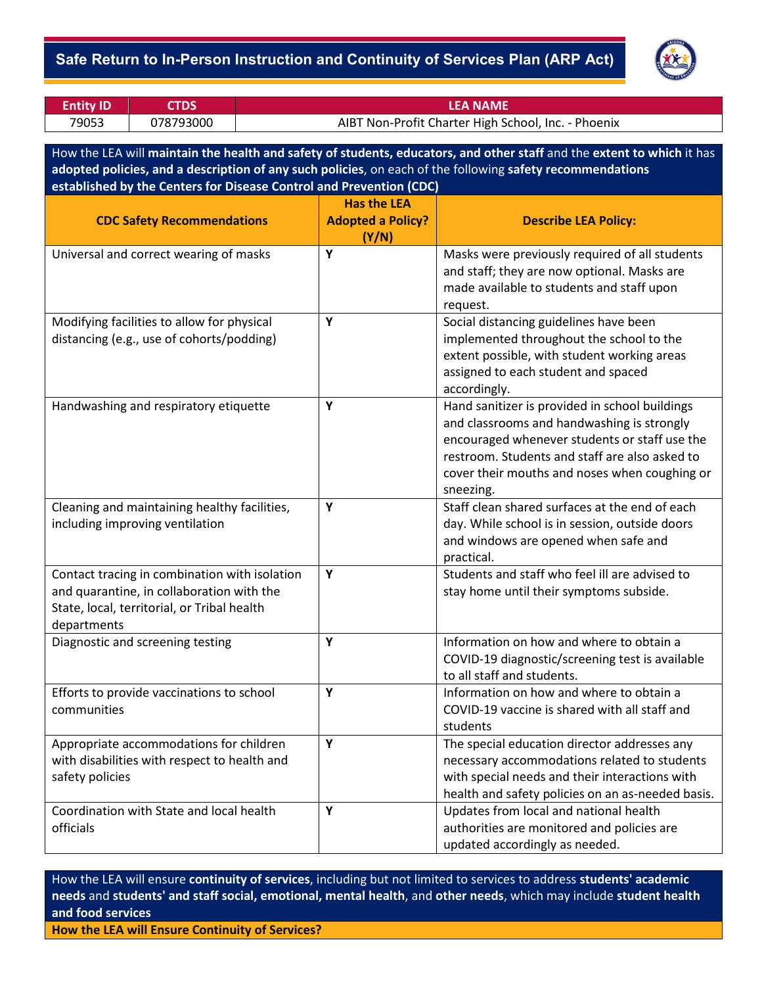### - **Safe Return to In-Person Instruction and Continuity of Services Plan (ARP Act)**



| <b>Entity ID</b>                                                                                                                                                                                                                    | <b>CTDS</b> |   |                                                                                                                                                                                                     | <b>LEA NAME</b>                                                                                                                                                                                                                                               |  |  |
|-------------------------------------------------------------------------------------------------------------------------------------------------------------------------------------------------------------------------------------|-------------|---|-----------------------------------------------------------------------------------------------------------------------------------------------------------------------------------------------------|---------------------------------------------------------------------------------------------------------------------------------------------------------------------------------------------------------------------------------------------------------------|--|--|
| 79053                                                                                                                                                                                                                               | 078793000   |   |                                                                                                                                                                                                     | AIBT Non-Profit Charter High School, Inc. - Phoenix                                                                                                                                                                                                           |  |  |
|                                                                                                                                                                                                                                     |             |   |                                                                                                                                                                                                     |                                                                                                                                                                                                                                                               |  |  |
| How the LEA will maintain the health and safety of students, educators, and other staff and the extent to which it has<br>adopted policies, and a description of any such policies, on each of the following safety recommendations |             |   |                                                                                                                                                                                                     |                                                                                                                                                                                                                                                               |  |  |
| established by the Centers for Disease Control and Prevention (CDC)                                                                                                                                                                 |             |   |                                                                                                                                                                                                     |                                                                                                                                                                                                                                                               |  |  |
|                                                                                                                                                                                                                                     |             |   | <b>Has the LEA</b>                                                                                                                                                                                  |                                                                                                                                                                                                                                                               |  |  |
| <b>CDC Safety Recommendations</b>                                                                                                                                                                                                   |             |   | <b>Adopted a Policy?</b>                                                                                                                                                                            | <b>Describe LEA Policy:</b>                                                                                                                                                                                                                                   |  |  |
|                                                                                                                                                                                                                                     |             |   | (Y/N)                                                                                                                                                                                               |                                                                                                                                                                                                                                                               |  |  |
| Universal and correct wearing of masks                                                                                                                                                                                              |             |   | Y                                                                                                                                                                                                   | Masks were previously required of all students<br>and staff; they are now optional. Masks are<br>made available to students and staff upon                                                                                                                    |  |  |
|                                                                                                                                                                                                                                     |             |   |                                                                                                                                                                                                     | request.                                                                                                                                                                                                                                                      |  |  |
| Modifying facilities to allow for physical<br>distancing (e.g., use of cohorts/podding)                                                                                                                                             |             |   | Y                                                                                                                                                                                                   | Social distancing guidelines have been<br>implemented throughout the school to the<br>extent possible, with student working areas<br>assigned to each student and spaced<br>accordingly.                                                                      |  |  |
| Handwashing and respiratory etiquette                                                                                                                                                                                               |             |   | Υ                                                                                                                                                                                                   | Hand sanitizer is provided in school buildings<br>and classrooms and handwashing is strongly<br>encouraged whenever students or staff use the<br>restroom. Students and staff are also asked to<br>cover their mouths and noses when coughing or<br>sneezing. |  |  |
| Cleaning and maintaining healthy facilities,<br>including improving ventilation                                                                                                                                                     |             | Y | Staff clean shared surfaces at the end of each<br>day. While school is in session, outside doors<br>and windows are opened when safe and<br>practical.                                              |                                                                                                                                                                                                                                                               |  |  |
| Contact tracing in combination with isolation<br>and quarantine, in collaboration with the<br>State, local, territorial, or Tribal health<br>departments                                                                            |             | Y | Students and staff who feel ill are advised to<br>stay home until their symptoms subside.                                                                                                           |                                                                                                                                                                                                                                                               |  |  |
| Diagnostic and screening testing                                                                                                                                                                                                    |             | Υ | Information on how and where to obtain a<br>COVID-19 diagnostic/screening test is available<br>to all staff and students.                                                                           |                                                                                                                                                                                                                                                               |  |  |
| Efforts to provide vaccinations to school<br>communities                                                                                                                                                                            |             | Y | Information on how and where to obtain a<br>COVID-19 vaccine is shared with all staff and<br>students                                                                                               |                                                                                                                                                                                                                                                               |  |  |
| Appropriate accommodations for children<br>with disabilities with respect to health and<br>safety policies                                                                                                                          |             | Y | The special education director addresses any<br>necessary accommodations related to students<br>with special needs and their interactions with<br>health and safety policies on an as-needed basis. |                                                                                                                                                                                                                                                               |  |  |
| Coordination with State and local health<br>officials                                                                                                                                                                               |             | Υ | Updates from local and national health<br>authorities are monitored and policies are<br>updated accordingly as needed.                                                                              |                                                                                                                                                                                                                                                               |  |  |

How the LEA will ensure **continuity of services**, including but not limited to services to address **students' academic needs** and **students' and staff social, emotional, mental health**, and **other needs**, which may include **student health and food services**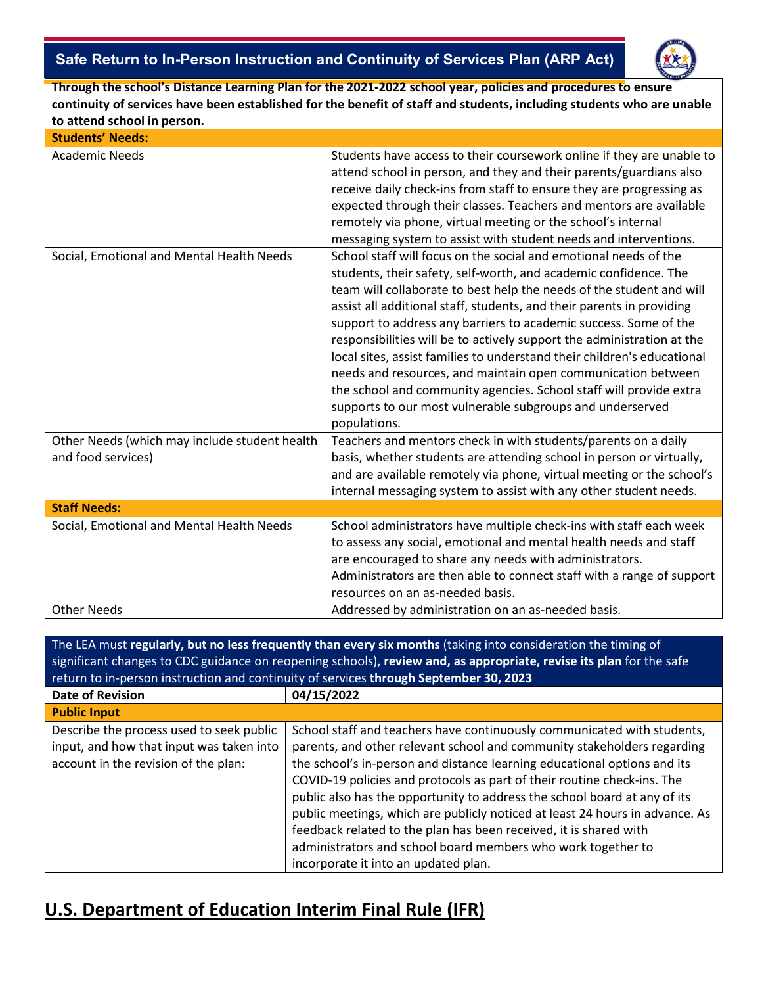## - **Safe Return to In-Person Instruction and Continuity of Services Plan (ARP Act)**



**Through the school's Distance Learning Plan for the 2021-2022 school year, policies and procedures to ensure continuity of services have been established for the benefit of staff and students, including students who are unable to attend school in person.**

| <b>Students' Needs:</b>                                             |                                                                                                                                                                                                                                                                                                                                                                                                                                                                                                                                                                                                                                                                                                                                   |  |  |  |
|---------------------------------------------------------------------|-----------------------------------------------------------------------------------------------------------------------------------------------------------------------------------------------------------------------------------------------------------------------------------------------------------------------------------------------------------------------------------------------------------------------------------------------------------------------------------------------------------------------------------------------------------------------------------------------------------------------------------------------------------------------------------------------------------------------------------|--|--|--|
| <b>Academic Needs</b>                                               | Students have access to their coursework online if they are unable to<br>attend school in person, and they and their parents/guardians also<br>receive daily check-ins from staff to ensure they are progressing as<br>expected through their classes. Teachers and mentors are available<br>remotely via phone, virtual meeting or the school's internal<br>messaging system to assist with student needs and interventions.                                                                                                                                                                                                                                                                                                     |  |  |  |
| Social, Emotional and Mental Health Needs                           | School staff will focus on the social and emotional needs of the<br>students, their safety, self-worth, and academic confidence. The<br>team will collaborate to best help the needs of the student and will<br>assist all additional staff, students, and their parents in providing<br>support to address any barriers to academic success. Some of the<br>responsibilities will be to actively support the administration at the<br>local sites, assist families to understand their children's educational<br>needs and resources, and maintain open communication between<br>the school and community agencies. School staff will provide extra<br>supports to our most vulnerable subgroups and underserved<br>populations. |  |  |  |
| Other Needs (which may include student health<br>and food services) | Teachers and mentors check in with students/parents on a daily<br>basis, whether students are attending school in person or virtually,<br>and are available remotely via phone, virtual meeting or the school's<br>internal messaging system to assist with any other student needs.                                                                                                                                                                                                                                                                                                                                                                                                                                              |  |  |  |
| <b>Staff Needs:</b>                                                 |                                                                                                                                                                                                                                                                                                                                                                                                                                                                                                                                                                                                                                                                                                                                   |  |  |  |
| Social, Emotional and Mental Health Needs                           | School administrators have multiple check-ins with staff each week<br>to assess any social, emotional and mental health needs and staff<br>are encouraged to share any needs with administrators.<br>Administrators are then able to connect staff with a range of support<br>resources on an as-needed basis.                                                                                                                                                                                                                                                                                                                                                                                                                    |  |  |  |
| <b>Other Needs</b>                                                  | Addressed by administration on an as-needed basis.                                                                                                                                                                                                                                                                                                                                                                                                                                                                                                                                                                                                                                                                                |  |  |  |

The LEA must **regularly, but no less frequently than every six months** (taking into consideration the timing of significant changes to CDC guidance on reopening schools), **review and, as appropriate, revise its plan** for the safe return to in-person instruction and continuity of services **through September 30, 2023 Date of Revision 04/15/2022 Public Input** Describe the process used to seek public input, and how that input was taken into account in the revision of the plan: School staff and teachers have continuously communicated with students, parents, and other relevant school and community stakeholders regarding the school's in-person and distance learning educational options and its COVID-19 policies and protocols as part of their routine check-ins. The public also has the opportunity to address the school board at any of its public meetings, which are publicly noticed at least 24 hours in advance. As feedback related to the plan has been received, it is shared with administrators and school board members who work together to incorporate it into an updated plan.

# **U.S. Department of Education Interim Final Rule (IFR)**